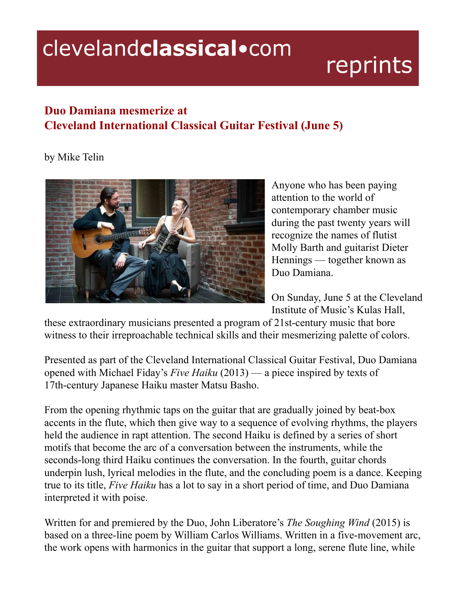## clevelandclassical.com

## reprints

## **Duo Damiana mesmerize at Cleveland International Classical Guitar Festival (June 5)**

by Mike Telin



Anyone who has been paying attention to the world of contemporary chamber music during the past twenty years will recognize the names of flutist Molly Barth and guitarist Dieter Hennings — together known as Duo Damiana.

On Sunday, June 5 at the Cleveland Institute of Music's Kulas Hall,

these extraordinary musicians presented a program of 21st-century music that bore witness to their irreproachable technical skills and their mesmerizing palette of colors.

Presented as part of the Cleveland International Classical Guitar Festival, Duo Damiana opened with Michael Fiday's *Five Haiku* (2013) — a piece inspired by texts of 17th-century Japanese Haiku master Matsu Basho.

From the opening rhythmic taps on the guitar that are gradually joined by beat-box accents in the flute, which then give way to a sequence of evolving rhythms, the players held the audience in rapt attention. The second Haiku is defined by a series of short motifs that become the arc of a conversation between the instruments, while the seconds-long third Haiku continues the conversation. In the fourth, guitar chords underpin lush, lyrical melodies in the flute, and the concluding poem is a dance. Keeping true to its title, *Five Haiku* has a lot to say in a short period of time, and Duo Damiana interpreted it with poise.

Written for and premiered by the Duo, John Liberatore's *The Soughing Wind* (2015) is based on a three-line poem by William Carlos Williams. Written in a five-movement arc, the work opens with harmonics in the guitar that support a long, serene flute line, while